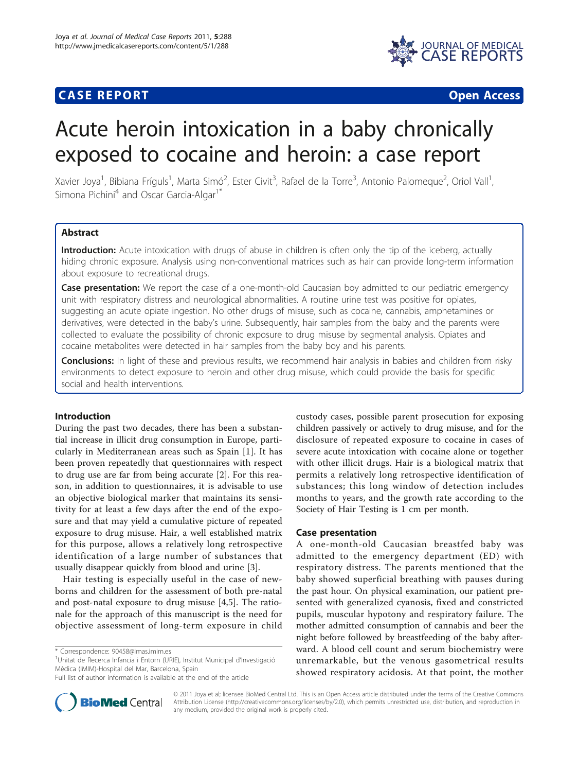# **CASE REPORT CASE REPORT CASE REPORT**



# Acute heroin intoxication in a baby chronically exposed to cocaine and heroin: a case report

Xavier Joya<sup>1</sup>, Bibiana Fríguls<sup>1</sup>, Marta Simó<sup>2</sup>, Ester Civit<sup>3</sup>, Rafael de la Torre<sup>3</sup>, Antonio Palomeque<sup>2</sup>, Oriol Vall<sup>1</sup> , Simona Pichini<sup>4</sup> and Oscar Garcia-Algar<sup>1\*</sup>

# Abstract

Introduction: Acute intoxication with drugs of abuse in children is often only the tip of the iceberg, actually hiding chronic exposure. Analysis using non-conventional matrices such as hair can provide long-term information about exposure to recreational drugs.

**Case presentation:** We report the case of a one-month-old Caucasian boy admitted to our pediatric emergency unit with respiratory distress and neurological abnormalities. A routine urine test was positive for opiates, suggesting an acute opiate ingestion. No other drugs of misuse, such as cocaine, cannabis, amphetamines or derivatives, were detected in the baby's urine. Subsequently, hair samples from the baby and the parents were collected to evaluate the possibility of chronic exposure to drug misuse by segmental analysis. Opiates and cocaine metabolites were detected in hair samples from the baby boy and his parents.

Conclusions: In light of these and previous results, we recommend hair analysis in babies and children from risky environments to detect exposure to heroin and other drug misuse, which could provide the basis for specific social and health interventions.

#### Introduction

During the past two decades, there has been a substantial increase in illicit drug consumption in Europe, particularly in Mediterranean areas such as Spain [[1\]](#page-2-0). It has been proven repeatedly that questionnaires with respect to drug use are far from being accurate [[2\]](#page-2-0). For this reason, in addition to questionnaires, it is advisable to use an objective biological marker that maintains its sensitivity for at least a few days after the end of the exposure and that may yield a cumulative picture of repeated exposure to drug misuse. Hair, a well established matrix for this purpose, allows a relatively long retrospective identification of a large number of substances that usually disappear quickly from blood and urine [\[3](#page-2-0)].

Hair testing is especially useful in the case of newborns and children for the assessment of both pre-natal and post-natal exposure to drug misuse [[4,5\]](#page-2-0). The rationale for the approach of this manuscript is the need for objective assessment of long-term exposure in child

<sup>1</sup>Unitat de Recerca Infancia i Entorn (URIE), Institut Municipal d'Investigació Mèdica (IMIM)-Hospital del Mar, Barcelona, Spain



## Case presentation

A one-month-old Caucasian breastfed baby was admitted to the emergency department (ED) with respiratory distress. The parents mentioned that the baby showed superficial breathing with pauses during the past hour. On physical examination, our patient presented with generalized cyanosis, fixed and constricted pupils, muscular hypotony and respiratory failure. The mother admitted consumption of cannabis and beer the night before followed by breastfeeding of the baby afterward. A blood cell count and serum biochemistry were unremarkable, but the venous gasometrical results showed respiratory acidosis. At that point, the mother



© 2011 Joya et al; licensee BioMed Central Ltd. This is an Open Access article distributed under the terms of the Creative Commons Attribution License [\(http://creativecommons.org/licenses/by/2.0](http://creativecommons.org/licenses/by/2.0)), which permits unrestricted use, distribution, and reproduction in any medium, provided the original work is properly cited.

<sup>\*</sup> Correspondence: [90458@imas.imim.es](mailto:90458@imas.imim.es)

Full list of author information is available at the end of the article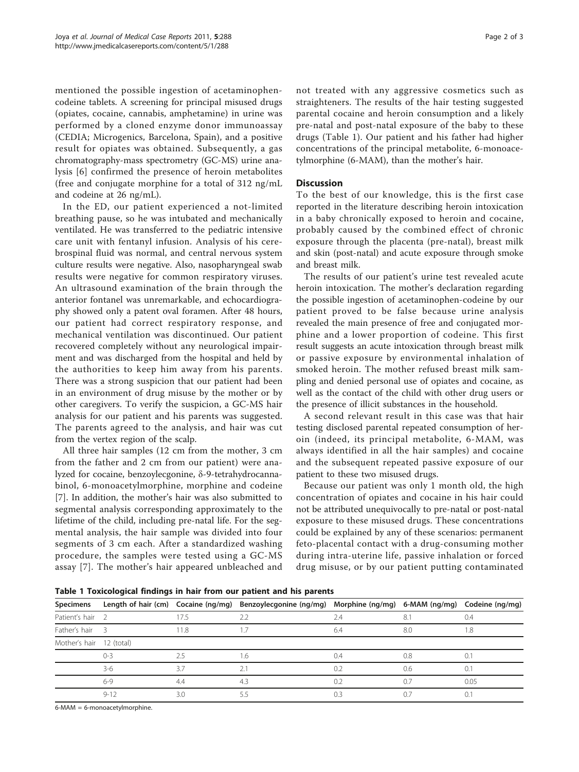mentioned the possible ingestion of acetaminophencodeine tablets. A screening for principal misused drugs (opiates, cocaine, cannabis, amphetamine) in urine was performed by a cloned enzyme donor immunoassay (CEDIA; Microgenics, Barcelona, Spain), and a positive result for opiates was obtained. Subsequently, a gas chromatography-mass spectrometry (GC-MS) urine analysis [[6\]](#page-2-0) confirmed the presence of heroin metabolites (free and conjugate morphine for a total of 312 ng/mL and codeine at 26 ng/mL).

In the ED, our patient experienced a not-limited breathing pause, so he was intubated and mechanically ventilated. He was transferred to the pediatric intensive care unit with fentanyl infusion. Analysis of his cerebrospinal fluid was normal, and central nervous system culture results were negative. Also, nasopharyngeal swab results were negative for common respiratory viruses. An ultrasound examination of the brain through the anterior fontanel was unremarkable, and echocardiography showed only a patent oval foramen. After 48 hours, our patient had correct respiratory response, and mechanical ventilation was discontinued. Our patient recovered completely without any neurological impairment and was discharged from the hospital and held by the authorities to keep him away from his parents. There was a strong suspicion that our patient had been in an environment of drug misuse by the mother or by other caregivers. To verify the suspicion, a GC-MS hair analysis for our patient and his parents was suggested. The parents agreed to the analysis, and hair was cut from the vertex region of the scalp.

All three hair samples (12 cm from the mother, 3 cm from the father and 2 cm from our patient) were analyzed for cocaine, benzoylecgonine, δ-9-tetrahydrocannabinol, 6-monoacetylmorphine, morphine and codeine [[7\]](#page-2-0). In addition, the mother's hair was also submitted to segmental analysis corresponding approximately to the lifetime of the child, including pre-natal life. For the segmental analysis, the hair sample was divided into four segments of 3 cm each. After a standardized washing procedure, the samples were tested using a GC-MS assay [\[7](#page-2-0)]. The mother's hair appeared unbleached and not treated with any aggressive cosmetics such as straighteners. The results of the hair testing suggested parental cocaine and heroin consumption and a likely pre-natal and post-natal exposure of the baby to these drugs (Table 1). Our patient and his father had higher concentrations of the principal metabolite, 6-monoacetylmorphine (6-MAM), than the mother's hair.

# **Discussion**

To the best of our knowledge, this is the first case reported in the literature describing heroin intoxication in a baby chronically exposed to heroin and cocaine, probably caused by the combined effect of chronic exposure through the placenta (pre-natal), breast milk and skin (post-natal) and acute exposure through smoke and breast milk.

The results of our patient's urine test revealed acute heroin intoxication. The mother's declaration regarding the possible ingestion of acetaminophen-codeine by our patient proved to be false because urine analysis revealed the main presence of free and conjugated morphine and a lower proportion of codeine. This first result suggests an acute intoxication through breast milk or passive exposure by environmental inhalation of smoked heroin. The mother refused breast milk sampling and denied personal use of opiates and cocaine, as well as the contact of the child with other drug users or the presence of illicit substances in the household.

A second relevant result in this case was that hair testing disclosed parental repeated consumption of heroin (indeed, its principal metabolite, 6-MAM, was always identified in all the hair samples) and cocaine and the subsequent repeated passive exposure of our patient to these two misused drugs.

Because our patient was only 1 month old, the high concentration of opiates and cocaine in his hair could not be attributed unequivocally to pre-natal or post-natal exposure to these misused drugs. These concentrations could be explained by any of these scenarios: permanent feto-placental contact with a drug-consuming mother during intra-uterine life, passive inhalation or forced drug misuse, or by our patient putting contaminated

Table 1 Toxicological findings in hair from our patient and his parents

| Specimens                |              |      | Length of hair (cm) Cocaine (ng/mg) Benzoylecgonine (ng/mg) Morphine (ng/mg) 6-MAM (ng/mg) Codeine (ng/mg) |     |     |      |
|--------------------------|--------------|------|------------------------------------------------------------------------------------------------------------|-----|-----|------|
| Patient's hair 2         |              | 17.5 | 2.2                                                                                                        | 7.4 | 8.1 | 0.4  |
| Father's hair            | $\mathbf{R}$ | 1.8  |                                                                                                            | 6.4 | 8.0 | 1.8  |
| Mother's hair 12 (total) |              |      |                                                                                                            |     |     |      |
|                          | $0 - 3$      | 2.5  | 1.6                                                                                                        | 0.4 | 0.8 | 0.1  |
|                          | $3-6$        |      |                                                                                                            | 0.2 | 0.6 | 0.1  |
|                          | $6 - 9$      | 4.4  | 4.3                                                                                                        | 0.2 | 0.7 | 0.05 |
|                          | $9 - 12$     | 3.0  |                                                                                                            | 0.3 |     |      |
|                          |              |      |                                                                                                            |     |     |      |

6-MAM = 6-monoacetylmorphine.